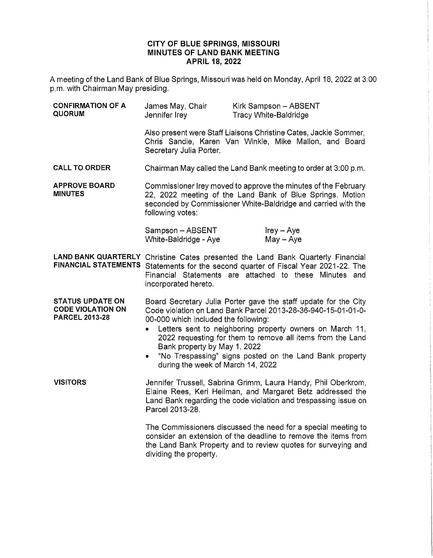## **CITY OF BLUE SPRINGS, MISSOURI MINUTES OF LAND BANK MEETING APRIL 18, 2022**

A meeting of the Land Bank of Blue Springs, Missouri was held on Monday, April 18, 2022 at 3:00 p.m. with Chairman May presiding.

| <b>CONFIRMATION OF A</b><br>QUORUM                                           | James May, Chair<br>Jennifer Irey                                                                                                                                                                                                                                                                                                                                                                                                                            | Kirk Sampson - ABSENT<br>Tracy White-Baldridge                                                                             |  |
|------------------------------------------------------------------------------|--------------------------------------------------------------------------------------------------------------------------------------------------------------------------------------------------------------------------------------------------------------------------------------------------------------------------------------------------------------------------------------------------------------------------------------------------------------|----------------------------------------------------------------------------------------------------------------------------|--|
|                                                                              | Secretary Julia Porter.                                                                                                                                                                                                                                                                                                                                                                                                                                      | Also present were Staff Liaisons Christine Cates, Jackie Sommer,<br>Chris Sandie, Karen Van Winkle, Mike Mallon, and Board |  |
| <b>CALL TO ORDER</b>                                                         | Chairman May called the Land Bank meeting to order at 3:00 p.m.                                                                                                                                                                                                                                                                                                                                                                                              |                                                                                                                            |  |
| <b>APPROVE BOARD</b><br><b>MINUTES</b>                                       | Commissioner Irey moved to approve the minutes of the February<br>22, 2022 meeting of the Land Bank of Blue Springs. Motion<br>seconded by Commissioner White-Baldridge and carried with the<br>following votes:                                                                                                                                                                                                                                             |                                                                                                                            |  |
|                                                                              | Sampson - ABSENT<br>White-Baldridge - Aye                                                                                                                                                                                                                                                                                                                                                                                                                    | $lrey - Aye$<br>$May - Aye$                                                                                                |  |
| <b>LAND BANK QUARTERLY</b><br><b>FINANCIAL STATEMENTS</b>                    | Christine Cates presented the Land Bank Quarterly Financial<br>Statements for the second quarter of Fiscal Year 2021-22. The<br>Financial Statements are attached to these Minutes and<br>incorporated hereto.                                                                                                                                                                                                                                               |                                                                                                                            |  |
| <b>STATUS UPDATE ON</b><br><b>CODE VIOLATION ON</b><br><b>PARCEL 2013-28</b> | Board Secretary Julia Porter gave the staff update for the City<br>Code violation on Land Bank Parcel 2013-28-36-940-15-01-01-0-<br>00-000 which included the following:<br>Letters sent to neighboring property owners on March 11,<br>$\bullet$<br>2022 requesting for them to remove all items from the Land<br>Bank property by May 1, 2022<br>"No Trespassing" signs posted on the Land Bank property<br>$\bullet$<br>during the week of March 14, 2022 |                                                                                                                            |  |
| <b>VISITORS</b>                                                              | Jennifer Trussell, Sabrina Grimm, Laura Handy, Phil Oberkrom,<br>Elaine Rees, Keri Heilman, and Margaret Betz addressed the<br>Land Bank regarding the code violation and trespassing issue on<br>Parcel 2013-28.                                                                                                                                                                                                                                            |                                                                                                                            |  |
|                                                                              | The Commissioners discussed the need for a special meeting to<br>consider an extension of the deadline to remove the items from<br>the Land Bank Property and to review quotes for surveying and<br>dividing the property.                                                                                                                                                                                                                                   |                                                                                                                            |  |